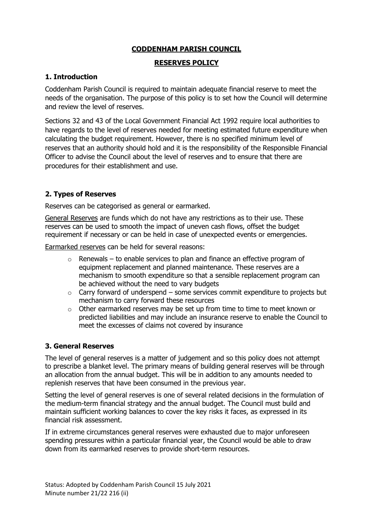# **CODDENHAM PARISH COUNCIL**

#### **RESERVES POLICY**

## **1. Introduction**

Coddenham Parish Council is required to maintain adequate financial reserve to meet the needs of the organisation. The purpose of this policy is to set how the Council will determine and review the level of reserves.

Sections 32 and 43 of the Local Government Financial Act 1992 require local authorities to have regards to the level of reserves needed for meeting estimated future expenditure when calculating the budget requirement. However, there is no specified minimum level of reserves that an authority should hold and it is the responsibility of the Responsible Financial Officer to advise the Council about the level of reserves and to ensure that there are procedures for their establishment and use.

## **2. Types of Reserves**

Reserves can be categorised as general or earmarked.

General Reserves are funds which do not have any restrictions as to their use. These reserves can be used to smooth the impact of uneven cash flows, offset the budget requirement if necessary or can be held in case of unexpected events or emergencies.

Earmarked reserves can be held for several reasons:

- $\circ$  Renewals to enable services to plan and finance an effective program of equipment replacement and planned maintenance. These reserves are a mechanism to smooth expenditure so that a sensible replacement program can be achieved without the need to vary budgets
- $\circ$  Carry forward of underspend some services commit expenditure to projects but mechanism to carry forward these resources
- o Other earmarked reserves may be set up from time to time to meet known or predicted liabilities and may include an insurance reserve to enable the Council to meet the excesses of claims not covered by insurance

#### **3. General Reserves**

The level of general reserves is a matter of judgement and so this policy does not attempt to prescribe a blanket level. The primary means of building general reserves will be through an allocation from the annual budget. This will be in addition to any amounts needed to replenish reserves that have been consumed in the previous year.

Setting the level of general reserves is one of several related decisions in the formulation of the medium-term financial strategy and the annual budget. The Council must build and maintain sufficient working balances to cover the key risks it faces, as expressed in its financial risk assessment.

If in extreme circumstances general reserves were exhausted due to major unforeseen spending pressures within a particular financial year, the Council would be able to draw down from its earmarked reserves to provide short-term resources.